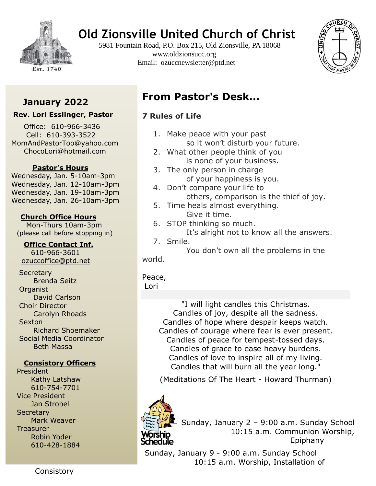

# **Old Zionsville United Church of Christ**

 5981 Fountain Road, P.O. Box 215, Old Zionsville, PA 18068 [www.oldzionsucc.org](http://www.oldzionsucc.org/)  Email: [ozuccnewsletter@ptd.net](mailto:ozuccnewsletter@ptd.net)



## **January 2022**

#### **Rev. Lori Esslinger, Pastor**

 Office: 610-966-3436 Cell: 610-393-3522 [MomAndPastorToo@yahoo.com](mailto:MomAndPastorToo@yahoo.comm) [ChocoLori@hotmail.com](mailto:ChocoLori@hotmail.com)

#### **Pastor's Hours**

Wednesday, Jan. 5-10am-3pm Wednesday, Jan. 12-10am-3pm Wednesday, Jan. 19-10am-3pm Wednesday, Jan. 26-10am-3pm

#### **Church Office Hours**

 Mon-Thurs 10am-3pm (please call before stopping in)

#### **Office Contact Inf.**

 610-966-3601 [ozuccoffice@ptd.net](mailto:ozuccoffice@ptd.net)

**Secretary**  Brenda Seitz **Organist**  David Carlson Choir Director Carolyn Rhoads **Sexton**  Richard Shoemaker Social Media Coordinator Beth Massa

#### **Consistory Officers**

President Kathy Latshaw 610-754-7701 Vice President Jan Strobel **Secretary**  Mark Weaver **Treasurer**  Robin Yoder 610-428-1884

# **From Pastor's Desk…**

### **7 Rules of Life**

- 1. Make peace with your past so it won't disturb your future.
- 2. What other people think of you is none of your business.
- 3. The only person in charge of your happiness is you.
- 4. Don't compare your life to others, comparison is the thief of joy.
- 5. Time heals almost everything. Give it time.
- 6. STOP thinking so much.

It's alright not to know all the answers.

7. Smile.

 You don't own all the problems in the world.

#### Peace,

Lori

"I will light candles this Christmas. Candles of joy, despite all the sadness. Candles of hope where despair keeps watch. Candles of courage where fear is ever present. Candles of peace for tempest-tossed days. Candles of grace to ease heavy burdens. Candles of love to inspire all of my living. Candles that will burn all the year long."

(Meditations Of The Heart - Howard Thurman)



Sunday, January 2 – 9:00 a.m. Sunday School 10:15 a.m. Communion Worship, Epiphany

Sunday, January 9 - 9:00 a.m. Sunday School 10:15 a.m. Worship, Installation of

**Consistory**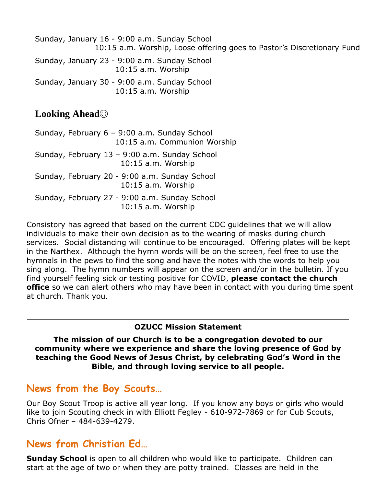Sunday, January 16 - 9:00 a.m. Sunday School 10:15 a.m. Worship, Loose offering goes to Pastor's Discretionary Fund Sunday, January 23 - 9:00 a.m. Sunday School

 10:15 a.m. Worship Sunday, January 30 - 9:00 a.m. Sunday School

10:15 a.m. Worship

# **Looking Ahead**☺

| Sunday, February 6 - 9:00 a.m. Sunday School<br>10:15 a.m. Communion Worship |
|------------------------------------------------------------------------------|
| Sunday, February 13 - 9:00 a.m. Sunday School<br>10:15 a.m. Worship          |
| Sunday, February 20 - 9:00 a.m. Sunday School<br>10:15 a.m. Worship          |
| Sunday, February 27 - 9:00 a.m. Sunday School<br>10:15 a.m. Worship          |

Consistory has agreed that based on the current CDC guidelines that we will allow individuals to make their own decision as to the wearing of masks during church services. Social distancing will continue to be encouraged. Offering plates will be kept in the Narthex. Although the hymn words will be on the screen, feel free to use the hymnals in the pews to find the song and have the notes with the words to help you sing along. The hymn numbers will appear on the screen and/or in the bulletin. If you find yourself feeling sick or testing positive for COVID, **please contact the church office** so we can alert others who may have been in contact with you during time spent at church. Thank you.

#### **OZUCC Mission Statement**

**The mission of our Church is to be a congregation devoted to our community where we experience and share the loving presence of God by teaching the Good News of Jesus Christ, by celebrating God's Word in the Bible, and through loving service to all people.**

## **News from the Boy Scouts…**

Our Boy Scout Troop is active all year long. If you know any boys or girls who would like to join Scouting check in with Elliott Fegley - 610-972-7869 or for Cub Scouts, Chris Ofner – 484-639-4279.

# **News from Christian Ed…**

**Sunday School** is open to all children who would like to participate. Children can start at the age of two or when they are potty trained. Classes are held in the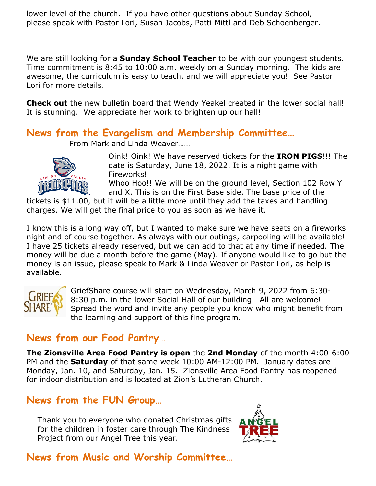lower level of the church. If you have other questions about Sunday School, please speak with Pastor Lori, Susan Jacobs, Patti Mittl and Deb Schoenberger.

We are still looking for a **Sunday School Teacher** to be with our youngest students. Time commitment is 8:45 to 10:00 a.m. weekly on a Sunday morning. The kids are awesome, the curriculum is easy to teach, and we will appreciate you! See Pastor Lori for more details.

**Check out** the new bulletin board that Wendy Yeakel created in the lower social hall! It is stunning. We appreciate her work to brighten up our hall!

### **News from the Evangelism and Membership Committee…**

From Mark and Linda Weaver……



Oink! Oink! We have reserved tickets for the **IRON PIGS**!!! The date is Saturday, June 18, 2022. It is a night game with Fireworks!

Whoo Hoo!! We will be on the ground level, Section 102 Row Y and X. This is on the First Base side. The base price of the

tickets is \$11.00, but it will be a little more until they add the taxes and handling charges. We will get the final price to you as soon as we have it.

I know this is a long way off, but I wanted to make sure we have seats on a fireworks night and of course together. As always with our outings, carpooling will be available! I have 25 tickets already reserved, but we can add to that at any time if needed. The money will be due a month before the game (May). If anyone would like to go but the money is an issue, please speak to Mark & Linda Weaver or Pastor Lori, as help is available.



GriefShare course will start on Wednesday, March 9, 2022 from 6:30- 8:30 p.m. in the lower Social Hall of our building. All are welcome! Spread the word and invite any people you know who might benefit from the learning and support of this fine program.

### **News from our Food Pantry…**

**The Zionsville Area Food Pantry is open** the **2nd Monday** of the month 4:00-6:00 PM and the **Saturday** of that same week 10:00 AM-12:00 PM. January dates are Monday, Jan. 10, and Saturday, Jan. 15. Zionsville Area Food Pantry has reopened for indoor distribution and is located at Zion's Lutheran Church.

## **News from the FUN Group…**

Thank you to everyone who donated Christmas gifts for the children in foster care through The Kindness Project from our Angel Tree this year.



# **News from Music and Worship Committee…**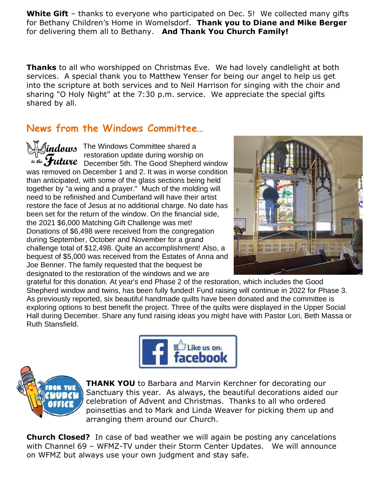**White Gift** – thanks to everyone who participated on Dec. 5! We collected many gifts for Bethany Children's Home in Womelsdorf. **Thank you to Diane and Mike Berger** for delivering them all to Bethany. **And Thank You Church Family!**

**Thanks** to all who worshipped on Christmas Eve. We had lovely candlelight at both services. A special thank you to Matthew Yenser for being our angel to help us get into the scripture at both services and to Neil Harrison for singing with the choir and sharing "O Holy Night" at the 7:30 p.m. service. We appreciate the special gifts shared by all.

# **News from the Windows Committee…**

**Jindou**s The Windows Committee shared a restoration update during worship on  $\overline{\mathbf{F}}$   $\overline{\mathbf{F}}$  **Future** December 5th. The Good Shepherd window was removed on December 1 and 2. It was in worse condition than anticipated, with some of the glass sections being held together by "a wing and a prayer." Much of the molding will need to be refinished and Cumberland will have their artist restore the face of Jesus at no additional charge. No date has been set for the return of the window. On the financial side, the 2021 \$6,000 Matching Gift Challenge was met! Donations of \$6,498 were received from the congregation during September, October and November for a grand challenge total of \$12,498. Quite an accomplishment! Also, a bequest of \$5,000 was received from the Estates of Anna and Joe Benner. The family requested that the bequest be designated to the restoration of the windows and we are



grateful for this donation. At year's end Phase 2 of the restoration, which includes the Good Shepherd window and twins, has been fully funded! Fund raising will continue in 2022 for Phase 3. As previously reported, six beautiful handmade quilts have been donated and the committee is exploring options to best benefit the project. Three of the quilts were displayed in the Upper Social Hall during December. Share any fund raising ideas you might have with Pastor Lori, Beth Massa or Ruth Stansfield.





**THANK YOU** to Barbara and Marvin Kerchner for decorating our Sanctuary this year. As always, the beautiful decorations aided our celebration of Advent and Christmas. Thanks to all who ordered poinsettias and to Mark and Linda Weaver for picking them up and arranging them around our Church.

**Church Closed?** In case of bad weather we will again be posting any cancelations with Channel 69 – WFMZ-TV under their Storm Center Updates. We will announce on WFMZ but always use your own judgment and stay safe.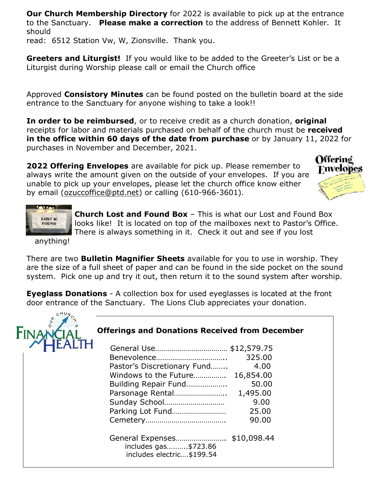**Our Church Membership Directory** for 2022 is available to pick up at the entrance to the Sanctuary. **Please make a correction** to the address of Bennett Kohler. It should

read: 6512 Station Vw, W, Zionsville. Thank you.

**Greeters and Liturgist!** If you would like to be added to the Greeter's List or be a Liturgist during Worship please call or email the Church office

Approved **Consistory Minutes** can be found posted on the bulletin board at the side entrance to the Sanctuary for anyone wishing to take a look!!

**In order to be reimbursed**, or to receive credit as a church donation, **original** receipts for labor and materials purchased on behalf of the church must be **received in the office within 60 days of the date from purchase** or by January 11, 2022 for purchases in November and December, 2021.

**2022 Offering Envelopes** are available for pick up. Please remember to always write the amount given on the outside of your envelopes. If you are unable to pick up your envelopes, please let the church office know either by email [\(ozuccoffice@ptd.net\)](mailto:ozuccoffice@ptd.net) or calling (610-966-3601).





**Church Lost and Found Box** – This is what our Lost and Found Box looks like! It is located on top of the mailboxes next to Pastor's Office. There is always something in it. Check it out and see if you lost

anything!

There are two **Bulletin Magnifier Sheets** available for you to use in worship. They are the size of a full sheet of paper and can be found in the side pocket on the sound system. Pick one up and try it out, then return it to the sound system after worship.

**Eyeglass Donations** - A collection box for used eyeglasses is located at the front door entrance of the Sanctuary. The Lions Club appreciates your donation.



| <b>HEALTH</b> | Pastor's Discretionary Fund<br>Windows to the Future<br>Building Repair Fund<br>Parsonage Rental<br>Sunday School<br>Parking Lot Fund | 325.00<br>4.00<br>16,854.00<br>50.00<br>1,495.00<br>9.00<br>25.00<br>90.00 |
|---------------|---------------------------------------------------------------------------------------------------------------------------------------|----------------------------------------------------------------------------|
|               | General Expenses<br>includes gas\$723.86<br>includes electric \$199.54                                                                | \$10,098.44                                                                |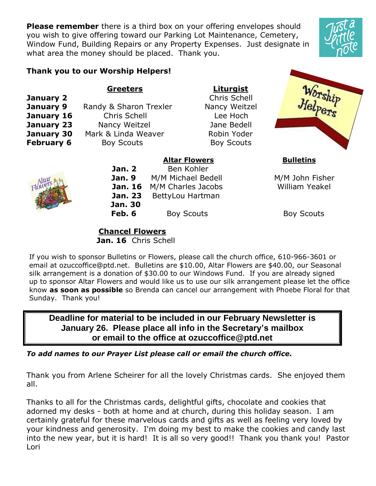**Please remember** there is a third box on your offering envelopes should you wish to give offering toward our Parking Lot Maintenance, Cemetery, Window Fund, Building Repairs or any Property Expenses. Just designate in what area the money should be placed. Thank you.

#### **Thank you to our Worship Helpers!**

| January 2<br>January 9<br>January 16<br>January 23<br>January 30<br><b>February 6</b> | <b>Greeters</b><br><b>Boy Scouts</b>                                          | Randy & Sharon Trexler<br>Chris Schell<br>Nancy Weitzel<br>Mark & Linda Weaver |                                                                                                    |                                                       |  |
|---------------------------------------------------------------------------------------|-------------------------------------------------------------------------------|--------------------------------------------------------------------------------|----------------------------------------------------------------------------------------------------|-------------------------------------------------------|--|
| Floution                                                                              | <b>Jan. 2</b><br><b>Jan. 9</b><br>Jan. 16<br><b>Jan. 23</b><br><b>Jan. 30</b> |                                                                                | <b>Altar Flowers</b><br>Ben Kohler<br>M/M Michael Bedell<br>M/M Charles Jacobs<br>BettyLou Hartman | <b>Bulletins</b><br>M/M John Fisher<br>William Yeakel |  |

**Feb. 6** Boy Scouts Boy Scouts

#### **Chancel Flowers**

**Jan. 16** Chris Schell

 If you wish to sponsor Bulletins or Flowers, please call the church office, 610-966-3601 or email at [ozuccoffice@ptd.net.](mailto:ozuccoffice@ptd.net) Bulletins are \$10.00, Altar Flowers are \$40.00, our Seasonal silk arrangement is a donation of \$30.00 to our Windows Fund. If you are already signed up to sponsor Altar Flowers and would like us to use our silk arrangement please let the office know **as soon as possible** so Brenda can cancel our arrangement with Phoebe Floral for that Sunday. Thank you!

**Deadline for material to be included in our February Newsletter is January 26. Please place all info in the Secretary's mailbox or email to the office at ozuccoffice@ptd.net**

#### *To add names to our Prayer List please call or email the church office.*

Thank you from Arlene Scheirer for all the lovely Christmas cards. She enjoyed them all.

Thanks to all for the Christmas cards, delightful gifts, chocolate and cookies that adorned my desks - both at home and at church, during this holiday season. I am certainly grateful for these marvelous cards and gifts as well as feeling very loved by your kindness and generosity. I'm doing my best to make the cookies and candy last into the new year, but it is hard! It is all so very good!! Thank you thank you! Pastor Lori

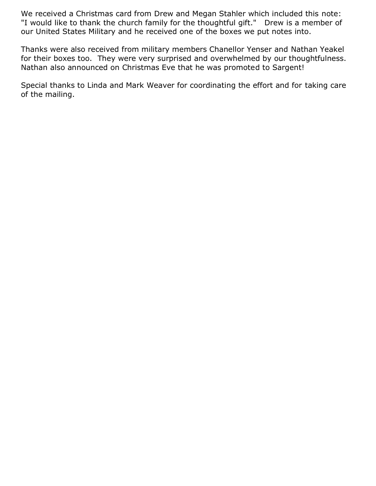We received a Christmas card from Drew and Megan Stahler which included this note: "I would like to thank the church family for the thoughtful gift." Drew is a member of our United States Military and he received one of the boxes we put notes into.

Thanks were also received from military members Chanellor Yenser and Nathan Yeakel for their boxes too. They were very surprised and overwhelmed by our thoughtfulness. Nathan also announced on Christmas Eve that he was promoted to Sargent!

Special thanks to Linda and Mark Weaver for coordinating the effort and for taking care of the mailing.